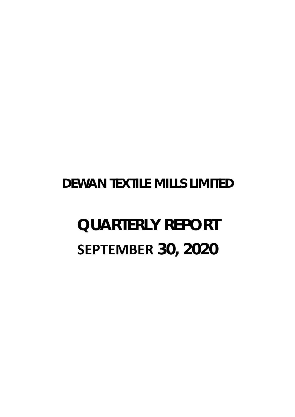# **DEWAN TEXTILE MILLS LIMITED**

# **QUARTERLY REPORT SEPTEMBER 30, 2020**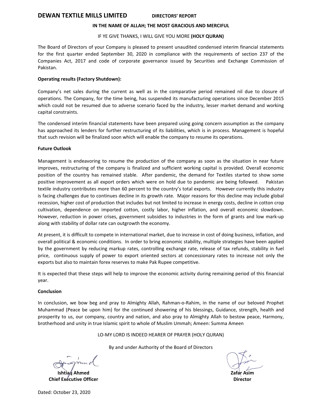# **DEWAN TEXTILE MILLS LIMITED DIRECTORS' REPORT**

# **IN THE NAME OF ALLAH; THE MOST GRACIOUS AND MERCIFUL**

# IF YE GIVE THANKS, I WILL GIVE YOU MORE **(HOLY QURAN)**

The Board of Directors of your Company is pleased to present unaudited condensed interim financial statements for the first quarter ended September 30, 2020 in compliance with the requirements of section 237 of the Companies Act, 2017 and code of corporate governance issued by Securities and Exchange Commission of Pakistan.

# **Operating results (Factory Shutdown):**

Company's net sales during the current as well as in the comparative period remained nil due to closure of operations. The Company, for the time being, has suspended its manufacturing operations since December 2015 which could not be resumed due to adverse scenario faced by the industry, lesser market demand and working capital constraints.

The condensed interim financial statements have been prepared using going concern assumption as the company has approached its lenders for further restructuring of its liabilities, which is in process. Management is hopeful that such revision will be finalized soon which will enable the company to resume its operations.

# **Future Outlook**

Management is endeavoring to resume the production of the company as soon as the situation in near future improves, restructuring of the company is finalized and sufficient working capital is provided. Overall economic position of the country has remained stable. After pandemic, the demand for Textiles started to show some positive improvement as all export orders which were on hold due to pandemic are being followed. Pakistan textile industry contributes more than 60 percent to the country's total exports. However currently this industry is facing challenges due to continues decline in its growth rate. Major reasons for this decline may include global recession, higher cost of production that includes but not limited to increase in energy costs, decline in cotton crop cultivation, dependence on imported cotton, costly labor, higher inflation, and overall economic slowdown. However, reduction in power crises, government subsidies to industries in the form of grants and low mark-up along with stability of dollar rate can outgrowth the economy.

At present, it is difficult to compete in international market, due to increase in cost of doing business, inflation, and overall political & economic conditions. In order to bring economic stability, multiple strategies have been applied by the government by reducing markup rates, controlling exchange rate, release of tax refunds, stability in fuel price, continuous supply of power to export oriented sectors at concessionary rates to increase not only the exports but also to maintain forex reserves to make Pak Rupee competitive.

It is expected that these steps will help to improve the economic activity during remaining period of this financial year.

### **Conclusion**

In conclusion, we bow beg and pray to Almighty Allah, Rahman-o-Rahim, in the name of our beloved Prophet Muhammad (Peace be upon him) for the continued showering of his blessings, Guidance, strength, health and prosperity to us, our company, country and nation, and also pray to Almighty Allah to bestow peace, Harmony, brotherhood and unity in true Islamic spirit to whole of Muslim Ummah; Ameen: Summa Ameen

LO-MY LORD IS INDEED HEARER OF PRAYER (HOLY QURAN)

By and under Authority of the Board of Directors

**Ishtiaq Ahmed Chief Executive Officer**

**Zafar Asim Director**

Dated: October 23, 2020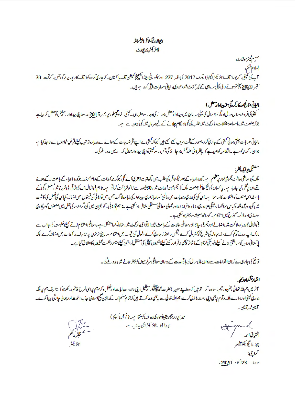# ديوان تيكشاكم الزلميتند ة *الأيكتر ذو يودت*

محترم شيئر بولڈرز، السلام يليم، آپ کی کمپنی کے بورڈ آف ڈائریکٹر (کمپنیزا یکٹ، 2017 کی دفعہ 237 اورسکیو رٹی اینڈ ایکچھنچ کمیشن آف پاکستان کے جاری کرونا کی کارپوریٹ گورنس کے تحت 30 ستمبر 2020 ، توتم ہونے والی پیل سہ ماہی کے غیر آ ڈٹ شدہ عبوری مالیاتی حسابات پیش کررہے ہیں۔

# الياتي نتائج وركار كروني: (بيلادار معلل)

سمپنی کی فروحت اس سال اورگزشتہ سال کی پیل اس ای میں پیدادار معطل ہونے کی دیے۔ سینچن نے وقتی طور پر دسمبر 2015ء سے اپنی پیدادار کے عمل کو معطل کر دیا ہے جو کہ صنعت میں مامساعد مشکلات، مارکیٹ میں طلب کی کمی اورکام چلانے کے لیے سر مایہ میں کمی کی دجہ ہے ہے۔

مالیاتی حسابات چلتی ہوئی کمپنی کے جاری کر د ہ<sup>ی</sup>سور کے تخت مرتب سے گئے ہیں کیونکہ کمپنی تر شد سال کے سے دوبار دیز تیب کیلئے قرض خواہوں سے مالیلہ کیاہے جوان کے زیرِخورہے ۔انظامیہ کامیدہ کہ پیٰظر ثانی جلد کمل ہوجائے گی جس سے کمپنی کا پی پیداوار بھال کرنے میں مدد ملے گی۔

ستقم وايك لقلم ملک کی معاشی حالت مجموعی طور پر منتخلم ہے ۔کورونا وبا ءکے بعد ٹیکسٹال کی طلب پہنچر کی آئے گئی کیونکہ پر آ مدات کے تباہ آ روز جوکورونا وبا ءکے با عث زکے ہوئے تھ ان پڑھل کیا جار ہاہے۔ پاکستان کی ٹیکسٹائل صنعت ملک کی مجموعی پرآمدات میں 60فیصد سے زائد ٹی آپ کے ان کی الحال اس کی ترقی کی شرح میں سلسل کمی کے ما عشاس صنعت کو پیمکات کا سامنا ہے۔اس کمی کی بڑی دجو ہات میں عالمی سمادیا زار کی نیا دہ ادا گرے جس میں آوانا تی کی قیمتوں میں اضاف کیاس کی فصل کی کاشت میں کی، درآمدشدہ کیاس پرانحصار مبقی مزدوری، زیادہ افراط زراد رجمولی معاشی سے گی اس پر تا ہم توانا تی کے بحران میں کی گرانٹ کی شک میں صنعتوں کوسرکاری سہنڈ کی اورڈ الرکیز خ میں استحکام کے ساتھ معیشت پہتر ہو گئی ہے۔ فی الحال کاروبا ر،لا گت میں اضافے اور مجموعی سابی اور معاشی حالات کے باعث میں الآتوا می مارسے اسکر ماستے کا استعمل ہے کی جانب سے مارک اپ ریٹ کوکم کرنے، زرمبادلہ کی شرح کوکنٹر ول کرنے ، قیل ریشنڈ ز جاری کرنے ،فیول کی قیمت میں استحکام ،رعایتی نرخوں پر ہیں۔ سے میں اضافہ کرنے بلکہ پاکستانی رو پیرکیسا بقتی بنانے کیلئے غیر ملکی کرنسی کے ذخائر کوچی برقرار رکھے کیلئے شعوراً کرنا گیں کہ مشتعد دحکمت عملیوں کااطلاق کیا ہے۔

تو تع کی جارہی ے کہ ان اقدامات سے رواں مالی سال کی ہاتی مدت کے دوران معاشی سرگرمیوں کو پہتر بنانے میں مدد ملےگی۔

المبادئ كماددتي آخر میں ہم اللہ تعالیٰ رحمٰن ور<sup>ح</sup>م سے دعا کرتے ہیں کہ ہ داپنے سیسے حضرت محق<mark>لت کے لش</mark>ل ایک روشنل دکرم ہم پرای طرح قائم رکھے جو کہ بیمرٹ ہم پر بلکہ ہماری کمپنی اورہارے ملک دقوم رجمی اپنی رحت ما زل کرے ہم اللہ تعالی ہے یہ بھی دعا کرتے ہیں کہ تمام کے مانین بھیج اسلامی حذب اخوت اور بھائی جا رگی پیدا کرے۔ آثان ممسرآ تان-

میرابروردگاریقیناً ہماری دعاؤں کو منتاہے۔(قرآن کریم) بورڈ آف ڈائریکٹرزگی جائب ے

فكجرعائثم

ذائريكش

Graphund استيان أحمد فتنتسخ الر چيف الگيزيکڻوافيسر كباججة مودن: 23اكتوبر 2020ء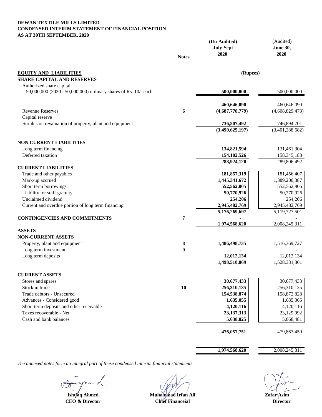# **DEWAN TEXTILE MILLS LIMITED CONDENSED INTERIM STATEMENT OF FINANCIAL POSITION AS AT 30TH SEPTEMBER, 2020**

|                                                                                            |              | (Un-Audited)<br><b>July-Sept</b> | (Audited)<br><b>June 30,</b>   |
|--------------------------------------------------------------------------------------------|--------------|----------------------------------|--------------------------------|
|                                                                                            | <b>Notes</b> | 2020                             | 2020                           |
| <b>EQUITY AND LIABILITIES</b>                                                              |              | (Rupees)                         |                                |
| <b>SHARE CAPITAL AND RESERVES</b>                                                          |              |                                  |                                |
| Authorized share capital<br>50,000,000 (2020: 50,000,000) ordinary shares of Rs. 10/- each |              | 500,000,000                      | 500,000,000                    |
|                                                                                            |              | 460,646,090                      | 460,646,090                    |
| <b>Revenue Reserves</b>                                                                    | 6            | (4,687,778,779)                  | (4,608,829,473)                |
| Capital reserve                                                                            |              |                                  |                                |
| Surplus on revaluation of property, plant and equipment                                    |              | 736,507,492<br>(3,490,625,197)   | 746,894,701<br>(3,401,288,682) |
| <b>NON CURRENT LIABILITIES</b>                                                             |              |                                  |                                |
| Long term financing                                                                        |              | 134,821,594                      | 131,461,304                    |
| Deferred taxation                                                                          |              | 154, 102, 526                    | 158, 345, 188                  |
|                                                                                            |              | 288,924,120                      | 289,806,492                    |
| <b>CURRENT LIABILITIES</b>                                                                 |              |                                  |                                |
| Trade and other payables                                                                   |              | 181,857,319                      | 181,456,407                    |
| Mark-up accrued                                                                            |              | 1,445,341,672                    | 1,389,200,387                  |
| Short term borrowings                                                                      |              | 552,562,805                      | 552,562,806                    |
| Liability for staff gratuity                                                               |              | 50,770,926                       | 50,770,926                     |
| Unclaimed dividend                                                                         |              | 254,206                          | 254,206                        |
| Current and overdue portion of long term financing                                         |              | 2,945,482,769                    | 2,945,482,769                  |
|                                                                                            |              | 5,176,269,697                    | 5,119,727,501                  |
| <b>CONTINGENCIES AND COMMITMENTS</b>                                                       | 7            | 1,974,568,620                    | 2,008,245,311                  |
| <b>ASSETS</b>                                                                              |              |                                  |                                |
| <b>NON-CURRENT ASSETS</b>                                                                  |              |                                  |                                |
| Property, plant and equipment                                                              | 8            | 1,486,498,735                    | 1,516,369,727                  |
| Long term investment                                                                       | 9            |                                  |                                |
| Long term deposits                                                                         |              | 12,012,134                       | 12,012,134                     |
|                                                                                            |              | 1,498,510,869                    | 1,528,381,861                  |
| <b>CURRENT ASSETS</b>                                                                      |              |                                  |                                |
| Stores and spares                                                                          |              | 30,677,433                       | 30,677,433                     |
| Stock in trade                                                                             | 10           | 256,310,135                      | 256,310,135                    |
| Trade debtors - Unsecured                                                                  |              | 154,538,874                      | 158,872,828                    |
| Advances - Considered good                                                                 |              | 1,635,055                        | 1,685,365                      |
| Short term deposits and other receivable                                                   |              | 4,120,116                        | 4,120,116                      |
| Taxes recoverable - Net                                                                    |              | 23, 137, 313                     | 23,129,092                     |
| Cash and bank balances                                                                     |              | 5,638,825                        | 5,068,481                      |
|                                                                                            |              | 476,057,751                      | 479,863,450                    |
|                                                                                            |              |                                  |                                |
|                                                                                            |              | 1,974,568,620                    | 2,008,245,311                  |

 $\sim$  0

**Ishtang Anmed**<br>CEO & Director

**Muhammad Irfan Ali Zafar Asim** 

**Chief Financeial Director**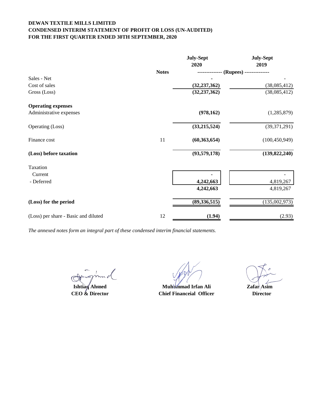# **DEWAN TEXTILE MILLS LIMITED CONDENSED INTERIM STATEMENT OF PROFIT OR LOSS (UN-AUDITED) FOR THE FIRST QUARTER ENDED 30TH SEPTEMBER, 2020**

|                                      |              | <b>July-Sept</b><br>2020 | <b>July-Sept</b><br>2019 |
|--------------------------------------|--------------|--------------------------|--------------------------|
|                                      | <b>Notes</b> |                          | (Rupees) ---             |
| Sales - Net                          |              |                          |                          |
| Cost of sales                        |              | (32, 237, 362)           | (38,085,412)             |
| Gross (Loss)                         |              | (32, 237, 362)           | (38,085,412)             |
| <b>Operating expenses</b>            |              |                          |                          |
| Administrative expenses              |              | (978, 162)               | (1,285,879)              |
| Operating (Loss)                     |              | (33, 215, 524)           | (39,371,291)             |
| Finance cost                         | 11           | (60, 363, 654)           | (100, 450, 949)          |
| (Loss) before taxation               |              | (93, 579, 178)           | (139, 822, 240)          |
| Taxation                             |              |                          |                          |
| Current                              |              |                          |                          |
| - Deferred                           |              | 4,242,663                | 4,819,267                |
|                                      |              | 4,242,663                | 4,819,267                |
| (Loss) for the period                |              | (89, 336, 515)           | (135,002,973)            |
| (Loss) per share - Basic and diluted | 12           | (1.94)                   | (2.93)                   |

**Ishtiag Ahmed**<br>CEO & Director

**CEO & Director Director Director Chief Financeial Officer Director Muhammad Irfan Ali Zafar** Asim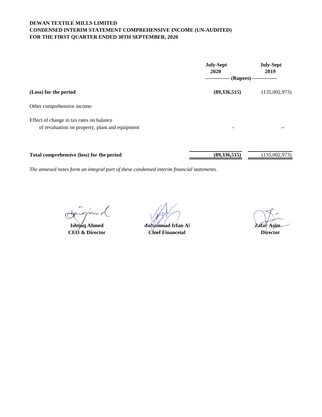# **DEWAN TEXTILE MILLS LIMITED CONDENSED INTERIM STATEMENT COMPREHENSIVE INCOME (UN-AUDITED) FOR THE FIRST QUARTER ENDED 30TH SEPTEMBER, 2020**

|                                                 | <b>July-Sept</b><br>2020              | <b>July-Sept</b><br>2019 |  |
|-------------------------------------------------|---------------------------------------|--------------------------|--|
|                                                 | - (Rupees) --------------<br>-------- |                          |  |
| (Loss) for the period                           | (89, 336, 515)                        | (135,002,973)            |  |
| Other comprehensive income:                     |                                       |                          |  |
| Effect of change in tax rates on balance        |                                       |                          |  |
| of revaluation on property, plant and equipment |                                       |                          |  |
|                                                 |                                       |                          |  |
| Total comprehensive (loss) for the period       | (89, 336, 515)                        | (135,002,973)            |  |

**Ishti⁄aq Ahmed** 

**CEO & Director Director Chief Financeial Muhammad Irfan Al Zafar Asim**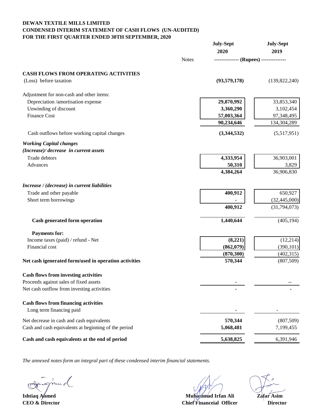# **CONDENSED INTERIM STATEMENT OF CASH FLOWS (UN-AUDITED) FOR THE FIRST QUARTER ENDED 30TH SEPTEMBER, 2020 DEWAN TEXTILE MILLS LIMITED**

|                                                       |              | <b>July-Sept</b>                       | <b>July-Sept</b> |
|-------------------------------------------------------|--------------|----------------------------------------|------------------|
|                                                       |              | 2020                                   | 2019             |
|                                                       | <b>Notes</b> | -------------- (Rupees) -------------- |                  |
| <b>CASH FLOWS FROM OPERATING ACTIVITIES</b>           |              |                                        |                  |
| (Loss) before taxation                                |              | (93, 579, 178)                         | (139,822,240)    |
| Adjustment for non-cash and other items:              |              |                                        |                  |
| Depreciation /amortisation expense                    |              | 29,870,992                             | 33,853,340       |
| Unwinding of discount                                 |              | 3,360,290                              | 3,102,454        |
| <b>Finance Cost</b>                                   |              | 57,003,364                             | 97,348,495       |
|                                                       |              | 90,234,646                             | 134,304,289      |
| Cash outflows before working capital changes          |              | (3,344,532)                            | (5,517,951)      |
| <b>Working Capital changes</b>                        |              |                                        |                  |
| (Increase)/ decrease in current assets                |              |                                        |                  |
| Trade debtors                                         |              | 4,333,954                              | 36,903,001       |
| Advances                                              |              | 50,310                                 | 3,829            |
|                                                       |              | 4,384,264                              | 36,906,830       |
| Increase / (decrease) in current liabilities          |              |                                        |                  |
| Trade and other payable                               |              | 400,912                                | 650,927          |
| Short term borrowings                                 |              |                                        | (32, 445, 000)   |
|                                                       |              | 400,912                                | (31,794,073)     |
| Cash generated form operation                         |              | 1,440,644                              | (405, 194)       |
| <b>Payments for:</b>                                  |              |                                        |                  |
| Income taxes (paid) / refund - Net                    |              | (8,221)                                | (12,214)         |
| Financial cost                                        |              | (862,079)                              | (390, 101)       |
|                                                       |              | (870, 300)                             | (402, 315)       |
| Net cash igenerated form/used in operation activities |              | 570,344                                | (807,509)        |
| <b>Cash flows from investing activities</b>           |              |                                        |                  |
| Proceeds against sales of fixed assets                |              |                                        |                  |
| Net cash outflow from investing activities            |              |                                        |                  |
| <b>Cash flows from financing activities</b>           |              |                                        |                  |
| Long term financing paid                              |              |                                        |                  |
|                                                       |              |                                        |                  |
| Net decrease in cash and cash equivalents             |              | 570,344                                | (807, 509)       |
| Cash and cash equivalents at beginning of the period  |              | 5,068,481                              | 7,199,455        |
| Cash and cash equivalents at the end of period        |              | 5,638,825                              | 6,391,946        |

nn d  $\mathcal{C}$ 

**Ishtiaq Ahmed Zafar Asim Muhammad Irfan Ali CEO & Director Director Director Director Director Chief Financeial Officer Director**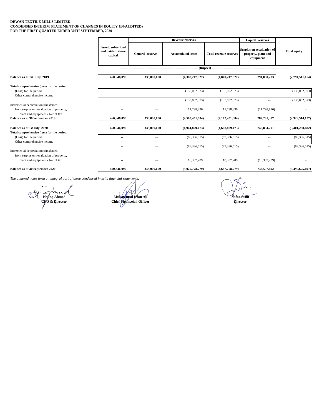#### **FOR THE FIRST QUARTER ENDED 30TH SEPTEMBER, 2020 DEWAN TEXTILE MILLS LIMITED CONDENSED INTERIM STATEMENT OF CHANGES IN EQUITY UN-AUDITED)**

|                                                                                                                      |                                                    | <b>Revenue reserves</b>  |                              | Capital reserves              |                                                               |                     |
|----------------------------------------------------------------------------------------------------------------------|----------------------------------------------------|--------------------------|------------------------------|-------------------------------|---------------------------------------------------------------|---------------------|
|                                                                                                                      | Issued, subscribed<br>and paid-up share<br>capital | General reserve          | <b>Accumulated losses</b>    | <b>Total revenue reserves</b> | Surplus on revaluation of<br>property, plant and<br>equipment | <b>Total equity</b> |
|                                                                                                                      |                                                    |                          |                              |                               |                                                               |                     |
| Balance as at 1st July 2019                                                                                          | 460,646,090                                        | 333,000,000              | (4,382,247,527)              | (4,049,247,527)               | 794,090,283                                                   | (2,794,511,154)     |
| Total comprehensive (loss) for the period<br>(Loss) for the period<br>Other comprehensive income                     |                                                    |                          | (135,002,973)                | (135,002,973)                 |                                                               | (135,002,973)       |
|                                                                                                                      |                                                    |                          | (135,002,973)                | (135,002,973)                 | $- -$                                                         | (135,002,973)       |
| Incremental depreciation transferred<br>from surplus on revaluation of property,<br>plant and equipment - Net of tax | $\sim$                                             | $\overline{\phantom{a}}$ | 11,798,896                   | 11,798,896                    | (11,798,896)                                                  |                     |
| Balance as at 30 September 2019                                                                                      | 460,646,090                                        | 333,000,000              | (4,505,451,604)              | (4,172,451,604)               | 782,291,387                                                   | (2,929,514,127)     |
| Balance as at Ist July 2020<br>Total comprehensive (loss) for the period                                             | 460,646,090                                        | 333,000,000              | (4,941,829,473)              | (4,608,829,473)               | 746,894,701                                                   | (3,401,288,682)     |
| (Loss) for the period                                                                                                | $\sim$                                             | $\overline{\phantom{a}}$ | (89, 336, 515)               | (89, 336, 515)                | $-$                                                           | (89, 336, 515)      |
| Other comprehensive income                                                                                           |                                                    | $\sim$                   |                              |                               | $- -$                                                         |                     |
| Incremental depreciation transferred<br>from surplus on revaluation of property,<br>plant and equipment - Net of tax | $\overline{\phantom{a}}$                           | $\overline{\phantom{a}}$ | (89, 336, 515)<br>10,387,209 | (89, 336, 515)<br>10,387,209  | $\overline{\phantom{a}}$<br>(10, 387, 209)                    | (89, 336, 515)      |
| Balance as at 30 September 2020                                                                                      | 460,646,090                                        | 333,000,000              | (5,020,778,779)              | (4,687,778,779)               | 736,507,492                                                   | (3,490,625,197)     |

 $\mathbb{C}$ **Ish#aq Ahmed CEO & Director**

**Muhammad Irfan Ali Zafar Asim Chief Financeial Officer Director Director**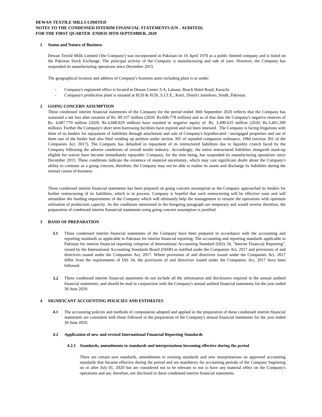#### **DEWAN TEXTILE MILLS LIMITED NOTES TO THE CONDENSED INTERIM FINANCIAL STATEMENTS (UN - AUDITED) FOR THE FIRST QUARTER ENDED 30TH SEPTEMBER, 2020**

#### **1 Status and Nature of Business**

Dewan Textile Mills Limited ('the Company') was incorporated in Pakistan on 16 April 1970 as a public limited company and is listed on the Pakistan Stock Exchange. The principal activity of the Company is manufacturing and sale of yarn. However, the Company has suspended its manufacturing operations since December 2015.

The geographical location and address of Company's business units including plant is as under:

- Company's registered office is located at Dewan Centre 3-A, Lalazar, Beach Hotel Road, Karachi.
- Company's production plant is situated at H/20 & H/26, S.I.T.E., Kotri, District Jamshoro, Sindh, Pakistan.

#### **2 GOING CONCERN ASSUMPTION**

These condensed interim financial statements of the Company for the period ended 30th September 2020 reflects that the Company has sustained a net loss after taxation of Rs. 89.337 million (2020: Rs.606.778 million) and as of that date the Company's negative reserves of Rs. 4,687.779 million (2020: Rs.4,608.829 million) have resulted in negative equity of Rs. 3,490.625 million (2020: Rs.3,401.289 million). Further the Company's short term borrowing facilities have expired and not been renewed. The Company is facing litigations with three of its lenders for repayment of liabilities through attachment and sale of Company's hypothecated / mortgaged properties and out of them one of the lender had also filed winding up petition under section 305 of repealed companies ordinance, 1984 (section 301 of the Companies Act, 2017). The Company has defaulted in repayment of its restructured liabilities due to liquidity crunch faced by the Company following the adverse conditions of overall textile industry. Accordingly, the entire restructured liabilities alongwith mark-up eligible for waiver have become immediately repayable. Company, for the time being, has suspended its manufacturing operations since December 2015. These conditions indicate the existence of material uncertainty, which may cast significant doubt about the Company's ability to continue as a going concern, therefore, the Company may not be able to realise its assets and discharge its liabilities during the normal course of business.

These condensed interim financial statements has been prepared on going concern assumption as the Company approached its lenders for further restructuring of its liabilities, which is in process. Company is hopeful that such restructuring will be effective soon and will streamline the funding requirements of the Company which will ultimately help the management to resume the operations with optimum utilisation of production capacity. As the conditions mentioned in the foregoing paragraph are temporary and would reverse therefore, the preparation of condensed interim fianancial statements using going concern assumption is justified.

#### **3 BASIS OF PREPARATION**

- **3.1** These condensed interim financial statements of the Company have been prepared in accordance with the accounting and reporting standards as applicable in Pakistan for interim financial reporting. The accounting and reporting standards applicable in Pakistan for interim financial reporting comprise of International Accounting Standard (IAS) 34, "Interim Financial Reporting", issued by the International Accounting Standards Board (IASB) as notified under the Companies Act, 2017 and provisions of and directives issued under the Companies Act, 2017. Where provisions of and directives issued under the Companies Act, 2017 differ from the requirements of IAS 34, the provisions of and directives issued under the Companies Act, 2017 have been followed.
- **3.2** These condensed interim financial statements do not include all the information and disclosures required in the annual audited financial statements, and should be read in conjunction with the Company's annual audited financial statements for the year ended 30 June 2020.

#### **4 SIGNIFICANT ACCOUNTING POLICIES AND ESTIMATES**

**4.1** The accounting policies and methods of computation adopted and applied in the preparation of these condensed interim financial statements are consistent with those followed in the preparation of the Company's annual financial statements for the year ended 30 June 2020.

#### **4.2 Application of new and revised International Financial Reporting Standards**

#### **4.2.1 Standards, amendments to standards and interpretations becoming effective during the period**

There are certain new standards, amendments to existing standards and new interpretations on approved accounting standards that became effective during the period and are mandatory for accounting periods of the Company beginning on or after July 01, 2020 but are considered not to be relevant or not to have any material effect on the Company's operations and are, therefore, not disclosed in these condensed interim financial statements.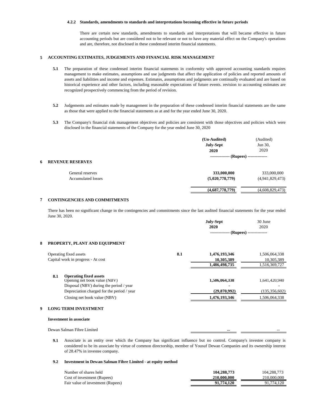#### **4.2.2 Standards, amendments to standards and interpretations becoming effective in future periods**

There are certain new standards, amendments to standards and interpretations that will became effective in future accounting periods but are considered not to be relevant or not to have any material effect on the Company's operations and are, therefore, not disclosed in these condensed interim financial statements.

# **5 ACCOUNTING EXTIMATES, JUDGEMENTS AND FINANCIAL RISK MANAGEMENT**

- **5.1** The preparation of these condensed interim financial statements in conformity with approved accounting standards requires management to make estimates, assumptions and use judgments that affect the application of policies and reported amounts of assets and liabilities and income and expenses. Estimates, assumptions and judgments are continually evaluated and are based on historical experience and other factors, including reasonable expectations of future events. revision to accounting estimates are recognized prospectively commencing from the period of revision.
- **5.2** Judgements and estimates made by management in the preparation of these condensed interim financial statements are the same as those that were applied to the financial statements as at and for the year ended June 30, 2020.
- **5.3** The Company's financial risk management objectives and policies are consistent with those objectives and policies which were disclosed in the financial statements of the Company for the year ended June 30, 2020

|                           | (Un-Audited)     | (Audited)                   |
|---------------------------|------------------|-----------------------------|
|                           | <b>July-Sept</b> | Jun 30,                     |
|                           | 2020             | 2020                        |
| <b>REVENUE RESERVES</b>   | ------------     | --- (Rupees) -------------- |
| General reserves          | 333,000,000      | 333,000,000                 |
| <b>Accumulated losses</b> | (5,020,778,779)  | (4,941,829,473)             |
|                           | (4,687,778,779)  | (4,608,829,473)             |
|                           |                  |                             |

## **7 CONTINGENCIES AND COMMITMENTS**

There has been no significant change in the contingencies and commitments since the last audited financial statements for the year ended June 30, 2020.

|   |                                                                      |     | July-Sept     | 30 June                  |
|---|----------------------------------------------------------------------|-----|---------------|--------------------------|
|   |                                                                      |     | 2020          | 2020                     |
|   |                                                                      |     |               | (Rupees) --------------- |
| 8 | PROPERTY, PLANT AND EQUIPMENT                                        |     |               |                          |
|   | Operating fixed assets                                               | 8.1 | 1,476,193,346 | 1,506,064,338            |
|   | Capital work in progress - At cost                                   |     | 10,305,389    | 10,305,389               |
|   |                                                                      |     | 1,486,498,735 | 1,516,369,727            |
|   | <b>Operating fixed assets</b><br>8.1<br>Opening net book value (NBV) |     | 1,506,064,338 | 1,641,420,940            |
|   | Disposal (NBV) during the period / year                              |     |               |                          |
|   | Depreciation charged for the period / year                           |     | (29,870,992)  | (135, 356, 602)          |
|   | Closing net book value (NBV)                                         |     | 1,476,193,346 | 1,506,064,338            |
|   |                                                                      |     |               |                          |

#### **9 LONG TERM INVESTMENT**

#### **Investment in associate**

Dewan Salman Fibre Limited

**9.1** Associate is an entity over which the Company has significant influence but no control. Company's investee company is considered to be its associate by virtue of common directorship, member of Yousuf Dewan Companies and its ownership interest of 28.47% in investee company.

#### **9.2 Investment in Dewan Salman Fibre Limited - at equity method**

| Number of shares held             | 104,288,773 | 104.288.773 |
|-----------------------------------|-------------|-------------|
| Cost of investment (Rupees)       | 210,000,000 | 210,000,000 |
| Fair value of investment (Rupees) | 91,774,120  | 91.774.120  |